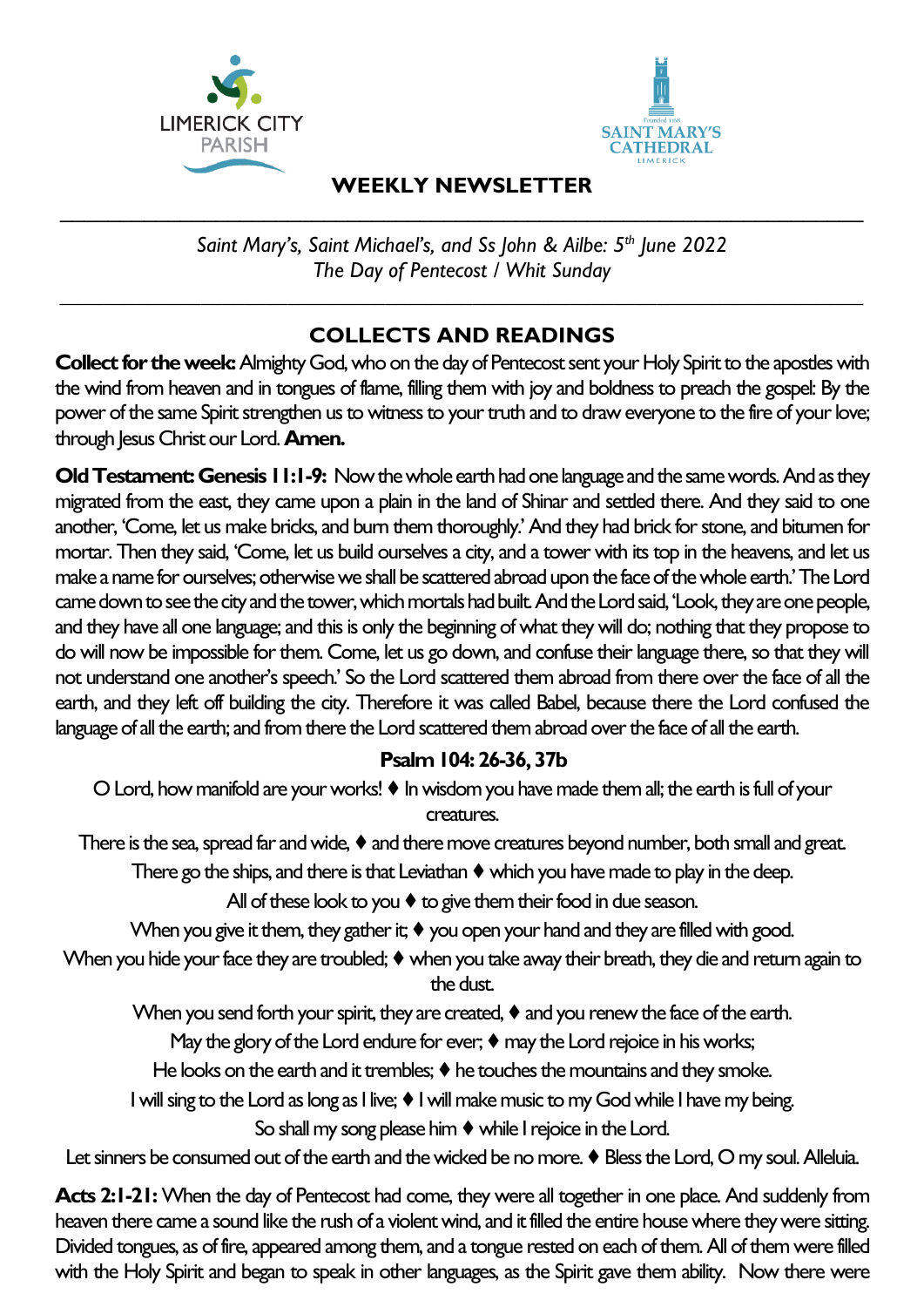



#### **WEEKLY NEWSLETTER**  $\mathcal{L}_\text{max}$  , and the contract of the contract of the contract of the contract of the contract of the contract of the contract of the contract of the contract of the contract of the contract of the contract of the contr

*Saint Mary's, Saint Michael's, and Ss John & Ailbe: 5 th June 2022 The Day of Pentecost / Whit Sunday*

*\_\_\_\_\_\_\_\_\_\_\_\_\_\_\_\_\_\_\_\_\_\_\_\_\_\_\_\_\_\_\_\_\_\_\_\_\_\_\_\_\_\_\_\_\_\_\_\_\_\_\_\_\_\_\_\_\_\_\_\_\_\_\_\_\_\_\_\_\_\_\_\_\_\_*

# **COLLECTS AND READINGS**

**Collect for the week:** Almighty God, who on the day of Pentecost sent your Holy Spirit to the apostles with the wind from heaven and in tongues of flame, filling them with joy and boldness to preach the gospel: By the power of the same Spirit strengthen us to witness to your truth and to draw everyone to the fire of your love; through Jesus Christ our Lord.**Amen.**

**Old Testament: Genesis 11:1-9:** Now the whole earth had one language and the same words. And as they migrated from the east, they came upon a plain in the land of Shinar and settled there. And they said to one another, 'Come, let us make bricks, and burn them thoroughly.' And they had brick for stone, and bitumen for mortar. Then they said, 'Come, let us build ourselves a city, and a tower with its top in the heavens, and let us make a name for ourselves; otherwise we shall be scattered abroad upon the face of the whole earth.' The Lord came down to see the city and the tower, which mortals had built. And the Lord said, 'Look, they are one people, and they have all one language; and this is only the beginning of what they will do; nothing that they propose to do will now be impossible for them. Come, let us go down, and confuse their language there, so that they will not understand one another's speech.' So the Lord scattered them abroad from there over the face of all the earth, and they left off building the city. Therefore it was called Babel, because there the Lord confused the language of all the earth; and from there the Lord scattered them abroad over the face of all the earth.

# **Psalm 104: 26-36, 37b**

O Lord, how manifold are your works! ♦︎In wisdom you have made them all; the earth is full of your creatures.

There is the sea, spread far and wide, ♦ and there move creatures beyond number, both small and great. There go the ships, and there is that Leviathan  $\blacklozenge$  which you have made to play in the deep.

All of these look to you  $\blacklozenge$  to give them their food in due season.

When you give it them, they gather it;  $\blacklozenge$  you open your hand and they are filled with good. When you hide your face they are troubled;  $\blacklozenge$  when you take away their breath, they die and return again to

the dust.

When you send forth your spirit, they are created,  $\blacklozenge$  and you renew the face of the earth.

May the glory of the Lord endure for ever;  $\blacklozenge$  may the Lord rejoice in his works;

- He looks on the earth and it trembles;  $\blacklozenge$  he touches the mountains and they smoke.
- I will sing to the Lord as long as I live; ♦︎I will make music to my God while I have my being. So shall my song please him ♦ while I rejoice in the Lord.

Let sinners be consumed out of the earth and the wicked be no more.  $\blacklozenge$  Bless the Lord, O my soul. Alleluia.

**Acts 2:1-21:** When the day of Pentecost had come, they were all together in one place. And suddenly from heaven there came a sound like the rush of a violent wind, and it filled the entire house where they were sitting. Divided tongues, as of fire, appeared among them, and a tongue rested on each of them. All of them were filled with the Holy Spirit and began to speak in other languages, as the Spirit gave them ability. Now there were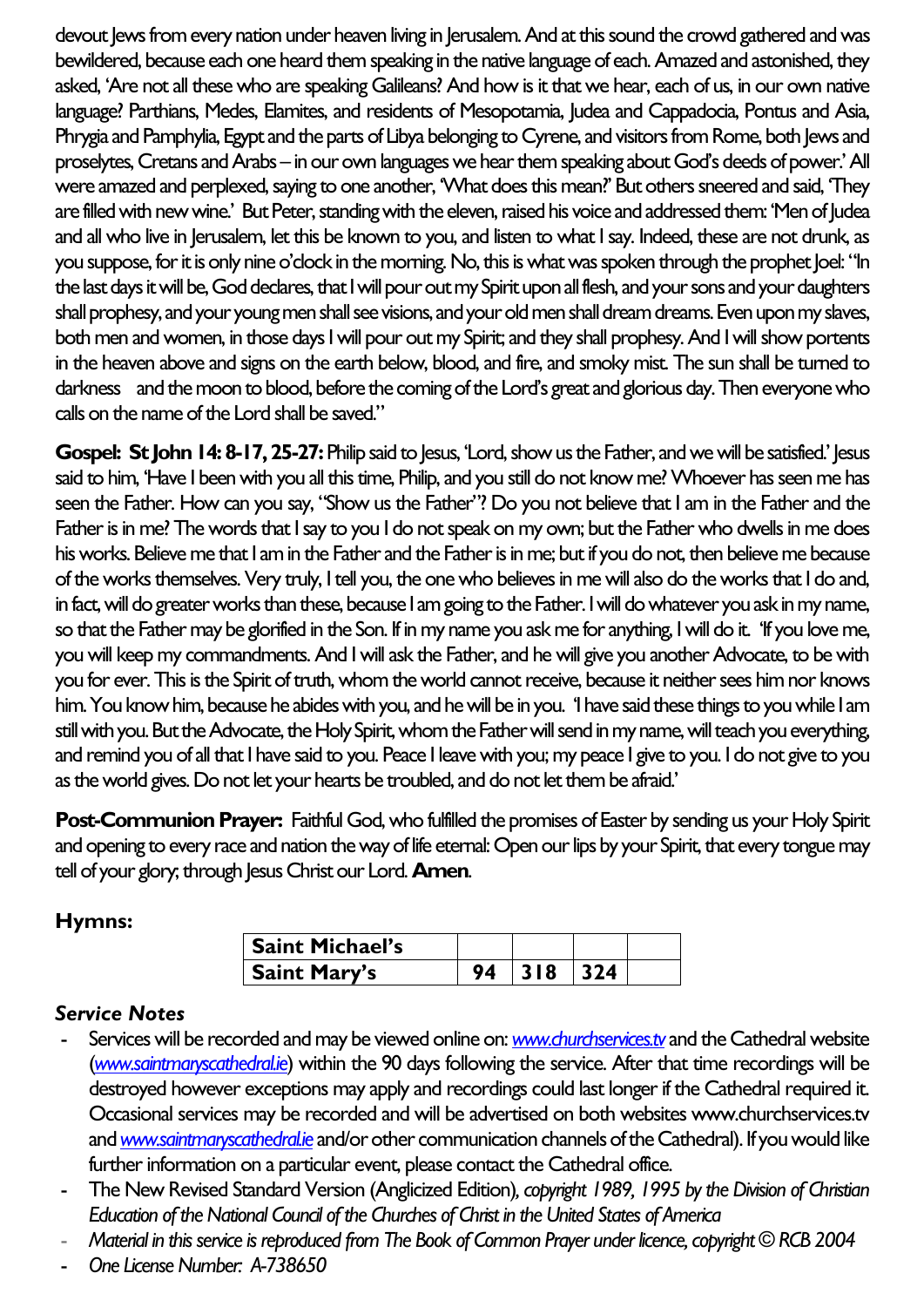devout Jews from every nation under heaven living in Jerusalem. And at this sound the crowd gathered and was bewildered, because each one heard them speaking in the native language of each. Amazed and astonished, they asked, 'Are not all these who are speaking Galileans? And how is it that we hear, each of us, in our own native language? Parthians, Medes, Elamites, and residents of Mesopotamia, Judea and Cappadocia, Pontus and Asia, Phrygia and Pamphylia, Egypt and the parts of Libya belonging to Cyrene, and visitors from Rome, both Jews and proselytes, Cretans and Arabs – in our own languages we hear them speaking about God's deeds of power.' All were amazed and perplexed, saying to one another, 'What does this mean?' But others sneered and said, 'They are filled with new wine.' But Peter, standing with the eleven, raised his voice and addressed them: 'Men of Judea and all who live in Jerusalem, let this be known to you, and listen to what I say. Indeed, these are not drunk, as you suppose, for it is only nine o'clock in the morning. No, this is what was spoken through the prophet Joel: "In the last days it will be, God declares, that I will pour out my Spirit upon all flesh, and your sons and your daughters shall prophesy, and your young men shall see visions, and your old men shall dream dreams. Even upon my slaves, both men and women, in those days I will pour out my Spirit; and they shall prophesy. And I will show portents in the heaven above and signs on the earth below, blood, and fire, and smoky mist. The sun shall be turned to darkness and the moon to blood, before the coming of the Lord's great and glorious day. Then everyone who calls on the name of the Lord shall be saved."

**Gospel: St John 14: 8-17, 25-27:** Philip said to Jesus, 'Lord, show us the Father, and we will be satisfied.' Jesus said to him, 'Have I been with you all this time, Philip, and you still do not know me? Whoever has seen me has seen the Father. How can you say, "Show us the Father"? Do you not believe that I am in the Father and the Father is in me? The words that I say to you I do not speak on my own; but the Father who dwells in me does his works. Believe me that I am in the Father and the Father is in me; but if you do not, then believe me because of the works themselves. Very truly, I tell you, the one who believes in me will also do the works that I do and, in fact, will do greater works than these, because I am going to the Father. I will do whatever you ask in my name, so that the Father may be glorified in the Son. If in my name you ask me for anything, I will do it. 'If you love me, you will keep my commandments. And I will ask the Father, and he will give you another Advocate, to be with you for ever. This is the Spirit of truth, whom the world cannot receive, because it neither sees him nor knows him. You know him, because he abides with you, and he will be in you. 'I have said these things to you while I am still with you. But the Advocate, the Holy Spirit, whom the Father will send in my name, will teach you everything, and remind you of all that I have said to you. Peace I leave with you; my peace I give to you. I do not give to you as the world gives. Do not let your hearts be troubled, and do not let them be afraid.'

**Post-Communion Prayer:** Faithful God, who fulfilled the promises of Easter by sending us your Holy Spirit and opening to every race and nation the way of life eternal: Open our lips by your Spirit, that every tongue may tell of your glory; through Jesus Christ our Lord. **Amen.** 

# **Hymns:**

| <b>Saint Michael's</b> |                  |  |
|------------------------|------------------|--|
| <b>Saint Mary's</b>    | $94$   318   324 |  |

# *Service Notes*

- Services will be recorded and may be viewed online on: *[www.churchservices.tv](http://www.churchservices.tv/)* and the Cathedral website (*[www.saintmaryscathedral.ie](http://www.saintmaryscathedral.ie/)*) within the 90 days following the service. After that time recordings will be destroyed however exceptions may apply and recordings could last longer if the Cathedral required it. Occasional services may be recorded and will be advertised on both websites www.churchservices.tv and *[www.saintmaryscathedral.ie](http://www.saintmaryscathedral.ie/)* and/or other communication channels of the Cathedral). If you would like further information on a particular event, please contact the Cathedral office.
- The New Revised Standard Version (Anglicized Edition)*, copyright 1989, 1995 by the Division of Christian Education of the National Council of the Churches of Christ in the United States of America*
- *Material in this service is reproduced from The Book of Common Prayer under licence, copyright © RCB 2004*
- *One License Number: A-738650*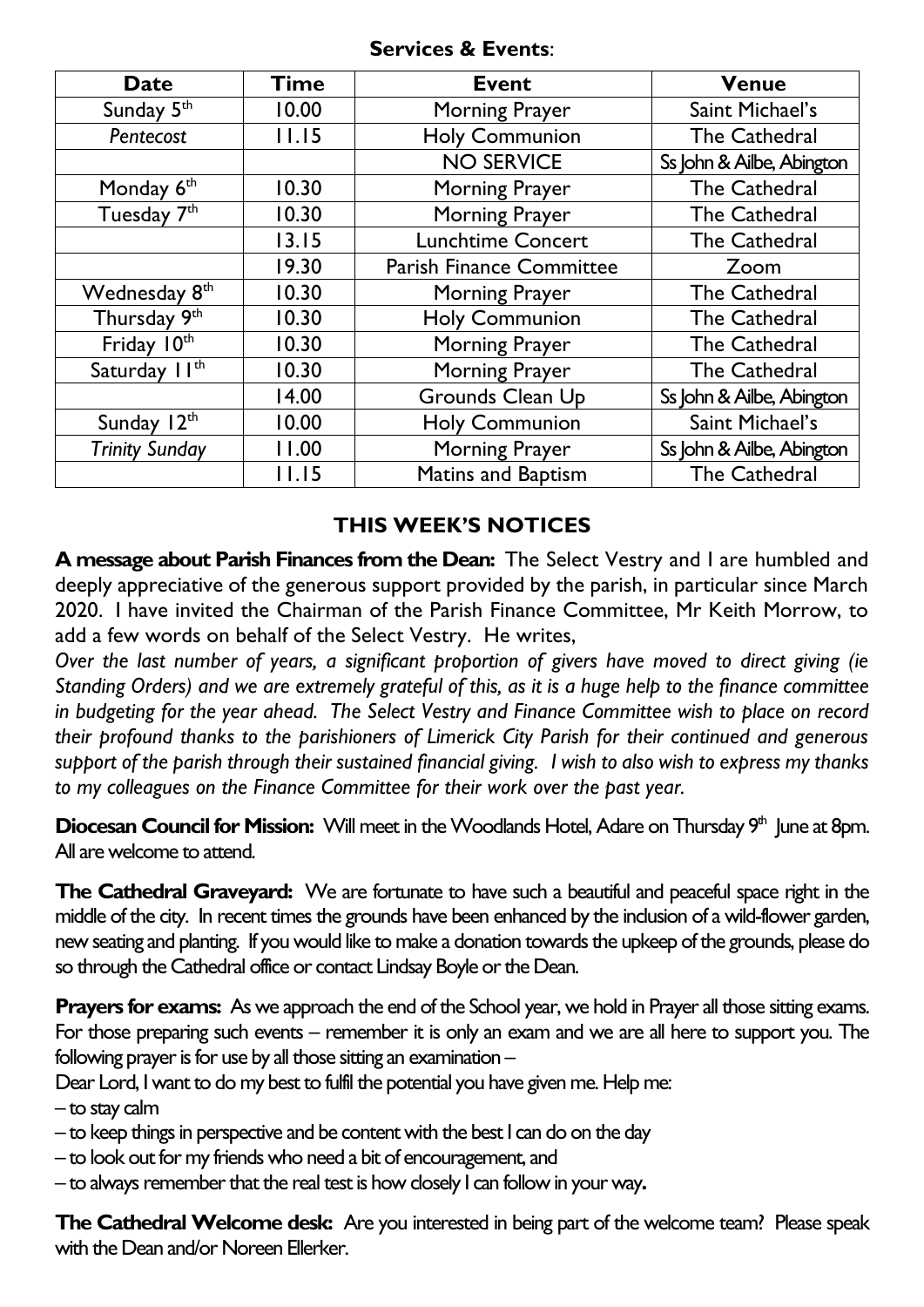#### **Services & Events**:

| <b>Date</b>               | <b>Time</b> | <b>Event</b>                    | <b>Venue</b>              |  |
|---------------------------|-------------|---------------------------------|---------------------------|--|
| Sunday 5 <sup>th</sup>    | 10.00       | <b>Morning Prayer</b>           | Saint Michael's           |  |
| Pentecost                 | 11.15       | <b>Holy Communion</b>           | <b>The Cathedral</b>      |  |
|                           |             | <b>NO SERVICE</b>               | Ss John & Ailbe, Abington |  |
| Monday 6 <sup>th</sup>    | 10.30       | <b>Morning Prayer</b>           | <b>The Cathedral</b>      |  |
| Tuesday 7 <sup>th</sup>   | 10.30       | <b>Morning Prayer</b>           | The Cathedral             |  |
|                           | 13.15       | <b>Lunchtime Concert</b>        | The Cathedral             |  |
|                           | 19.30       | <b>Parish Finance Committee</b> | Zoom                      |  |
| Wednesday 8 <sup>th</sup> | 10.30       | <b>Morning Prayer</b>           | The Cathedral             |  |
| Thursday 9th              | 10.30       | <b>Holy Communion</b>           | The Cathedral             |  |
| Friday 10th               | 10.30       | <b>Morning Prayer</b>           | <b>The Cathedral</b>      |  |
| Saturday II <sup>th</sup> | 10.30       | <b>Morning Prayer</b>           | The Cathedral             |  |
|                           | 14.00       | Grounds Clean Up                | Ss John & Ailbe, Abington |  |
| Sunday 12th               | 10.00       | <b>Holy Communion</b>           | Saint Michael's           |  |
| <b>Trinity Sunday</b>     | 11.00       | <b>Morning Prayer</b>           | Ss John & Ailbe, Abington |  |
|                           | 11.15       | <b>Matins and Baptism</b>       | <b>The Cathedral</b>      |  |

#### **THIS WEEK'S NOTICES**

**A message about Parish Finances from the Dean:** The Select Vestry and I are humbled and deeply appreciative of the generous support provided by the parish, in particular since March 2020. I have invited the Chairman of the Parish Finance Committee, Mr Keith Morrow, to add a few words on behalf of the Select Vestry. He writes,

*Over the last number of years, a significant proportion of givers have moved to direct giving (ie Standing Orders) and we are extremely grateful of this, as it is a huge help to the finance committee in budgeting for the year ahead. The Select Vestry and Finance Committee wish to place on record their profound thanks to the parishioners of Limerick City Parish for their continued and generous support of the parish through their sustained financial giving. I wish to also wish to express my thanks to my colleagues on the Finance Committee for their work over the past year.*

**Diocesan Council for Mission:** Will meet in the Woodlands Hotel, Adare on Thursday 9<sup>th</sup> June at 8pm. All are welcome to attend.

**The Cathedral Graveyard:** We are fortunate to have such a beautiful and peaceful space right in the middle of the city. In recent times the grounds have been enhanced by the inclusion of a wild-flower garden, new seating and planting. If you would like to make a donation towards the upkeep of the grounds, please do so through the Cathedral office or contact Lindsay Boyle or the Dean.

**Prayers for exams:** As we approach the end of the School year, we hold in Prayer all those sitting exams. For those preparing such events – remember it is only an exam and we are all here to support you. The following prayer is for use by all those sitting an examination –

Dear Lord, I want to do my best to fulfil the potential you have given me. Help me:

- to stay calm
- to keep things in perspective and be content with the best I can do on the day
- to look out for my friends who need a bit of encouragement, and
- to always remember that the real test is how closely I can follow in your way**.**

**The Cathedral Welcome desk:** Are you interested in being part of the welcome team? Please speak with the Dean and/or Noreen Ellerker.